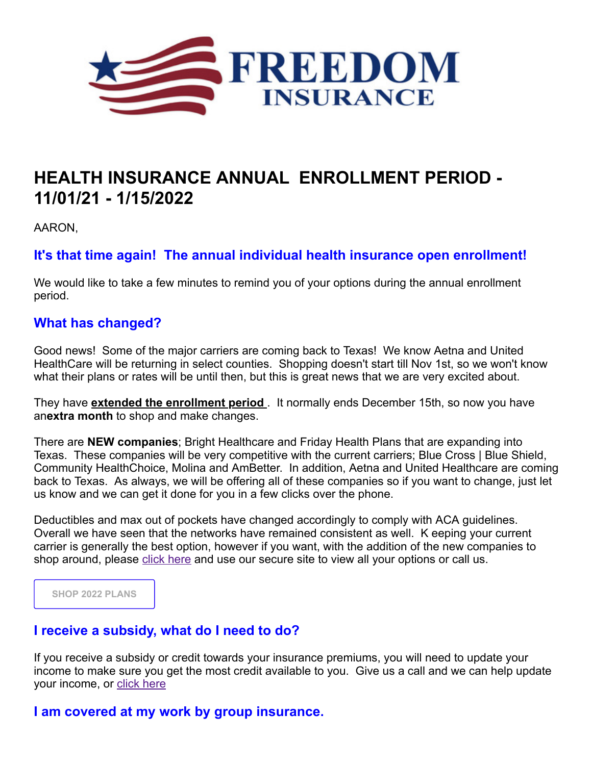

# **HEALTH INSURANCE ANNUAL ENROLLMENT PERIOD - 11/01/21 - 1/15/2022**

AARON,

**It's that time again! The annual individual health insurance open enrollment!**

We would like to take a few minutes to remind you of your options during the annual enrollment period.

## **What has changed?**

Good news! Some of the major carriers are coming back to Texas! We know Aetna and United HealthCare will be returning in select counties. Shopping doesn't start till Nov 1st, so we won't know what their plans or rates will be until then, but this is great news that we are very excited about.

They have **extended the enrollment period** . It normally ends December 15th, so now you have an**extra month** to shop and make changes.

There are **NEW companies**; Bright Healthcare and Friday Health Plans that are expanding into Texas. These companies will be very competitive with the current carriers; Blue Cross | Blue Shield, Community HealthChoice, Molina and AmBetter. In addition, Aetna and United Healthcare are coming back to Texas. As always, we will be offering all of these companies so if you want to change, just let us know and we can get it done for you in a few clicks over the phone.

Deductibles and max out of pockets have changed accordingly to comply with ACA guidelines. Overall we have seen that the networks have remained consistent as well. K eeping your current carrier is generally the best option, however if you want, with the addition of the new companies to shop around, please [click here](https://www.healthsherpa.com/?_agent_id=bonny-allbright) and use our secure site to view all your options or call us.

**[SHOP 2022 PLANS](https://www.healthsherpa.com/?_agent_id=bonny-allbright)**

## **I receive a subsidy, what do I need to do?**

If you receive a subsidy or credit towards your insurance premiums, you will need to update your income to make sure you get the most credit available to you. Give us a call and we can help update your income, or [click here](https://www.healthsherpa.com/?_agent_id=bonny-allbright)

## **I am covered at my work by group insurance.**